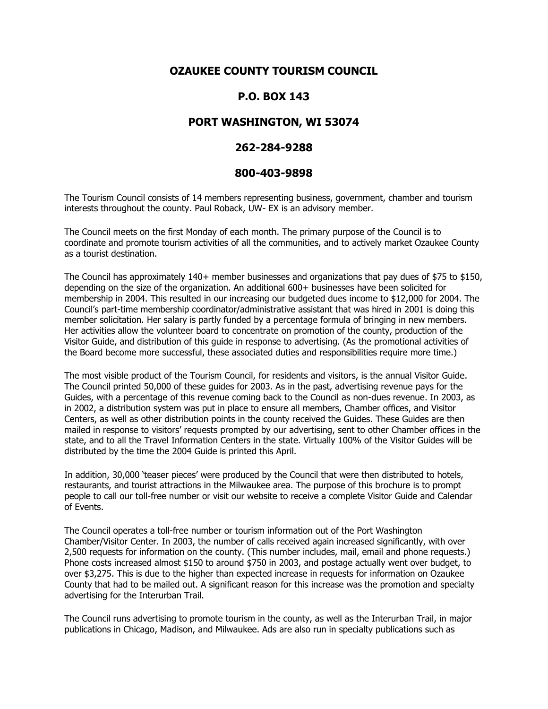# **OZAUKEE COUNTY TOURISM COUNCIL**

## **P.O. BOX 143**

### **PORT WASHINGTON, WI 53074**

#### **262-284-9288**

#### **800-403-9898**

The Tourism Council consists of 14 members representing business, government, chamber and tourism interests throughout the county. Paul Roback, UW- EX is an advisory member.

The Council meets on the first Monday of each month. The primary purpose of the Council is to coordinate and promote tourism activities of all the communities, and to actively market Ozaukee County as a tourist destination.

The Council has approximately  $140+$  member businesses and organizations that pay dues of \$75 to \$150, depending on the size of the organization. An additional 600+ businesses have been solicited for membership in 2004. This resulted in our increasing our budgeted dues income to \$12,000 for 2004. The Council's part-time membership coordinator/administrative assistant that was hired in 2001 is doing this member solicitation. Her salary is partly funded by a percentage formula of bringing in new members. Her activities allow the volunteer board to concentrate on promotion of the county, production of the Visitor Guide, and distribution of this guide in response to advertising. (As the promotional activities of the Board become more successful, these associated duties and responsibilities require more time.)

The most visible product of the Tourism Council, for residents and visitors, is the annual Visitor Guide. The Council printed 50,000 of these guides for 2003. As in the past, advertising revenue pays for the Guides, with a percentage of this revenue coming back to the Council as non-dues revenue. In 2003, as in 2002, a distribution system was put in place to ensure all members, Chamber offices, and Visitor Centers, as well as other distribution points in the county received the Guides. These Guides are then mailed in response to visitors' requests prompted by our advertising, sent to other Chamber offices in the state, and to all the Travel Information Centers in the state. Virtually 100% of the Visitor Guides will be distributed by the time the 2004 Guide is printed this April.

In addition, 30,000 'teaser pieces' were produced by the Council that were then distributed to hotels, restaurants, and tourist attractions in the Milwaukee area. The purpose of this brochure is to prompt people to call our toll-free number or visit our website to receive a complete Visitor Guide and Calendar of Events.

The Council operates a toll-free number or tourism information out of the Port Washington Chamber/Visitor Center. In 2003, the number of calls received again increased significantly, with over 2,500 requests for information on the county. (This number includes, mail, email and phone requests.) Phone costs increased almost \$150 to around \$750 in 2003, and postage actually went over budget, to over \$3,275. This is due to the higher than expected increase in requests for information on Ozaukee County that had to be mailed out. A significant reason for this increase was the promotion and specialty advertising for the Interurban Trail.

The Council runs advertising to promote tourism in the county, as well as the Interurban Trail, in major publications in Chicago, Madison, and Milwaukee. Ads are also run in specialty publications such as